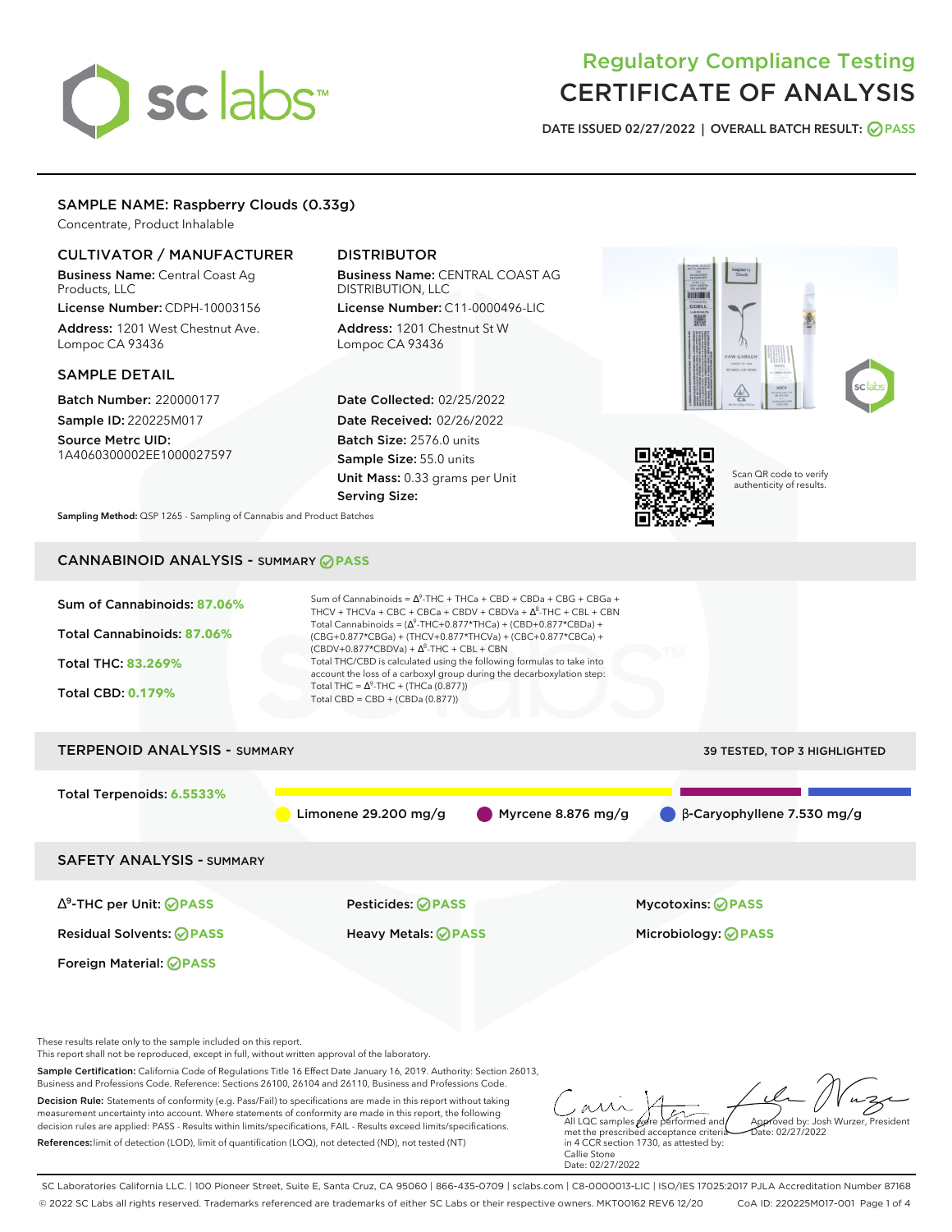# sclabs<sup>\*</sup>

# Regulatory Compliance Testing CERTIFICATE OF ANALYSIS

**DATE ISSUED 02/27/2022 | OVERALL BATCH RESULT: PASS**

# SAMPLE NAME: Raspberry Clouds (0.33g)

Concentrate, Product Inhalable

# CULTIVATOR / MANUFACTURER

Business Name: Central Coast Ag Products, LLC License Number: CDPH-10003156

Address: 1201 West Chestnut Ave. Lompoc CA 93436

#### SAMPLE DETAIL

Batch Number: 220000177 Sample ID: 220225M017

Source Metrc UID: 1A4060300002EE1000027597

# DISTRIBUTOR

Business Name: CENTRAL COAST AG DISTRIBUTION, LLC License Number: C11-0000496-LIC

Address: 1201 Chestnut St W Lompoc CA 93436

Date Collected: 02/25/2022 Date Received: 02/26/2022 Batch Size: 2576.0 units Sample Size: 55.0 units Unit Mass: 0.33 grams per Unit Serving Size:





Scan QR code to verify authenticity of results.

**Sampling Method:** QSP 1265 - Sampling of Cannabis and Product Batches

# CANNABINOID ANALYSIS - SUMMARY **PASS**

| Sum of Cannabinoids: 87.06%<br>Total Cannabinoids: 87.06%<br>Total THC: 83.269%<br><b>Total CBD: 0.179%</b>                                                          | Sum of Cannabinoids = $\Delta^9$ -THC + THCa + CBD + CBDa + CBG + CBGa +<br>THCV + THCVa + CBC + CBCa + CBDV + CBDVa + $\Delta^8$ -THC + CBL + CBN<br>Total Cannabinoids = $(\Delta^9$ -THC+0.877*THCa) + (CBD+0.877*CBDa) +<br>(CBG+0.877*CBGa) + (THCV+0.877*THCVa) + (CBC+0.877*CBCa) +<br>$(CBDV+0.877*CBDVa) + \Delta^8$ -THC + CBL + CBN<br>Total THC/CBD is calculated using the following formulas to take into<br>account the loss of a carboxyl group during the decarboxylation step:<br>Total THC = $\Delta^9$ -THC + (THCa (0.877))<br>Total CBD = $CBD + (CBDa (0.877))$ |                                                  |  |  |  |
|----------------------------------------------------------------------------------------------------------------------------------------------------------------------|----------------------------------------------------------------------------------------------------------------------------------------------------------------------------------------------------------------------------------------------------------------------------------------------------------------------------------------------------------------------------------------------------------------------------------------------------------------------------------------------------------------------------------------------------------------------------------------|--------------------------------------------------|--|--|--|
| <b>TERPENOID ANALYSIS - SUMMARY</b>                                                                                                                                  |                                                                                                                                                                                                                                                                                                                                                                                                                                                                                                                                                                                        | 39 TESTED, TOP 3 HIGHLIGHTED                     |  |  |  |
| Total Terpenoids: 6.5533%                                                                                                                                            | Limonene 29.200 mg/g                                                                                                                                                                                                                                                                                                                                                                                                                                                                                                                                                                   | Myrcene 8.876 mg/g<br>β-Caryophyllene 7.530 mg/g |  |  |  |
| <b>SAFETY ANALYSIS - SUMMARY</b>                                                                                                                                     |                                                                                                                                                                                                                                                                                                                                                                                                                                                                                                                                                                                        |                                                  |  |  |  |
| $\Delta^9$ -THC per Unit: <b>OPASS</b>                                                                                                                               | <b>Pesticides: ⊘ PASS</b>                                                                                                                                                                                                                                                                                                                                                                                                                                                                                                                                                              | <b>Mycotoxins: ⊘PASS</b>                         |  |  |  |
| <b>Residual Solvents: ⊘ PASS</b>                                                                                                                                     | <b>Heavy Metals: ⊘ PASS</b>                                                                                                                                                                                                                                                                                                                                                                                                                                                                                                                                                            | Microbiology: <b>⊘PASS</b>                       |  |  |  |
| Foreign Material: <b>⊘ PASS</b>                                                                                                                                      |                                                                                                                                                                                                                                                                                                                                                                                                                                                                                                                                                                                        |                                                  |  |  |  |
| These results relate only to the sample included on this report.<br>This report shall not be reproduced, except in full, without written approval of the laboratory. |                                                                                                                                                                                                                                                                                                                                                                                                                                                                                                                                                                                        |                                                  |  |  |  |

Sample Certification: California Code of Regulations Title 16 Effect Date January 16, 2019. Authority: Section 26013, Business and Professions Code. Reference: Sections 26100, 26104 and 26110, Business and Professions Code.

Decision Rule: Statements of conformity (e.g. Pass/Fail) to specifications are made in this report without taking measurement uncertainty into account. Where statements of conformity are made in this report, the following decision rules are applied: PASS - Results within limits/specifications, FAIL - Results exceed limits/specifications. References:limit of detection (LOD), limit of quantification (LOQ), not detected (ND), not tested (NT)

All LQC samples were performed and met the prescribed acceptance criteria Approved by: Josh Wurzer, President Date: 02/27/2022

in 4 CCR section 1730, as attested by: Callie Stone Date: 02/27/2022

SC Laboratories California LLC. | 100 Pioneer Street, Suite E, Santa Cruz, CA 95060 | 866-435-0709 | sclabs.com | C8-0000013-LIC | ISO/IES 17025:2017 PJLA Accreditation Number 87168 © 2022 SC Labs all rights reserved. Trademarks referenced are trademarks of either SC Labs or their respective owners. MKT00162 REV6 12/20 CoA ID: 220225M017-001 Page 1 of 4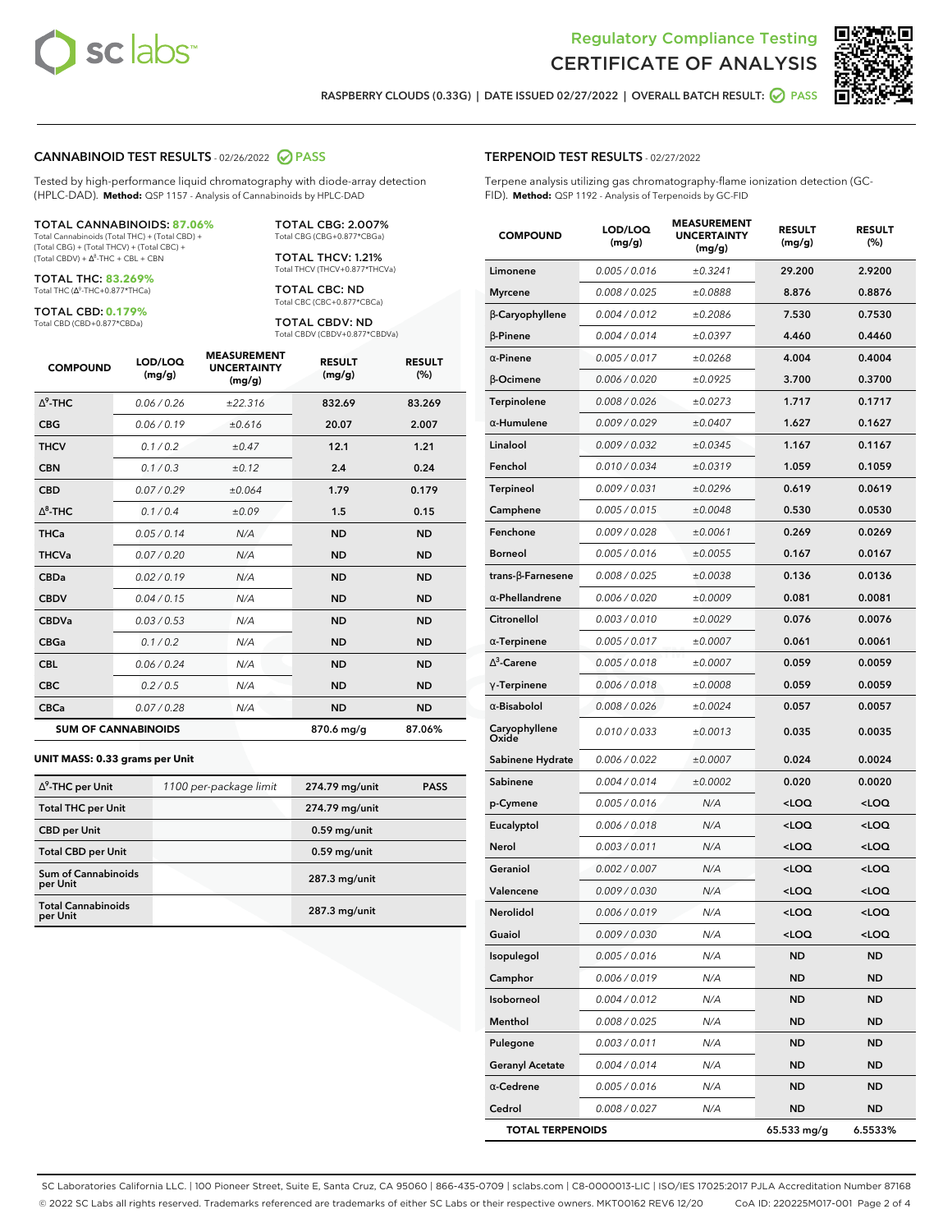



**RASPBERRY CLOUDS (0.33G) | DATE ISSUED 02/27/2022 | OVERALL BATCH RESULT: PASS**

#### **CANNABINOID TEST RESULTS** - 02/26/2022 **PASS**

Tested by high-performance liquid chromatography with diode-array detection (HPLC-DAD). **Method:** QSP 1157 - Analysis of Cannabinoids by HPLC-DAD

#### TOTAL CANNABINOIDS: **87.06%**

Total Cannabinoids (Total THC) + (Total CBD) + (Total CBG) + (Total THCV) + (Total CBC) +  $(Total CBDV) +  $\Delta^8$ -THC + CBL + CBN$ 

TOTAL THC: **83.269%** Total THC (Δ<sup>9</sup>-THC+0.877\*THCa)

TOTAL CBD: **0.179%**

Total CBD (CBD+0.877\*CBDa)

TOTAL CBG: 2.007% Total CBG (CBG+0.877\*CBGa)

TOTAL THCV: 1.21% Total THCV (THCV+0.877\*THCVa)

TOTAL CBC: ND Total CBC (CBC+0.877\*CBCa)

TOTAL CBDV: ND Total CBDV (CBDV+0.877\*CBDVa)

| <b>COMPOUND</b>  | LOD/LOQ<br>(mg/g)          | <b>MEASUREMENT</b><br><b>UNCERTAINTY</b><br>(mg/g) | <b>RESULT</b><br>(mg/g) | <b>RESULT</b><br>(%) |
|------------------|----------------------------|----------------------------------------------------|-------------------------|----------------------|
| $\Lambda^9$ -THC | 0.06/0.26                  | ±22.316                                            | 832.69                  | 83.269               |
| <b>CBG</b>       | 0.06/0.19                  | ±0.616                                             | 20.07                   | 2.007                |
| <b>THCV</b>      | 0.1/0.2                    | ±0.47                                              | 12.1                    | 1.21                 |
| <b>CBN</b>       | 0.1/0.3                    | ±0.12                                              | 2.4                     | 0.24                 |
| <b>CBD</b>       | 0.07/0.29                  | ±0.064                                             | 1.79                    | 0.179                |
| $\Delta^8$ -THC  | 0.1 / 0.4                  | ±0.09                                              | 1.5                     | 0.15                 |
| <b>THCa</b>      | 0.05/0.14                  | N/A                                                | <b>ND</b>               | <b>ND</b>            |
| <b>THCVa</b>     | 0.07 / 0.20                | N/A                                                | <b>ND</b>               | <b>ND</b>            |
| <b>CBDa</b>      | 0.02/0.19                  | N/A                                                | <b>ND</b>               | <b>ND</b>            |
| <b>CBDV</b>      | 0.04 / 0.15                | N/A                                                | <b>ND</b>               | <b>ND</b>            |
| <b>CBDVa</b>     | 0.03/0.53                  | N/A                                                | <b>ND</b>               | <b>ND</b>            |
| <b>CBGa</b>      | 0.1 / 0.2                  | N/A                                                | <b>ND</b>               | <b>ND</b>            |
| <b>CBL</b>       | 0.06 / 0.24                | N/A                                                | <b>ND</b>               | <b>ND</b>            |
| <b>CBC</b>       | 0.2 / 0.5                  | N/A                                                | <b>ND</b>               | <b>ND</b>            |
| <b>CBCa</b>      | 0.07 / 0.28                | N/A                                                | <b>ND</b>               | <b>ND</b>            |
|                  | <b>SUM OF CANNABINOIDS</b> |                                                    | 870.6 mg/g              | 87.06%               |

#### **UNIT MASS: 0.33 grams per Unit**

| $\Delta^9$ -THC per Unit               | 1100 per-package limit | 274.79 mg/unit  | <b>PASS</b> |
|----------------------------------------|------------------------|-----------------|-------------|
| <b>Total THC per Unit</b>              |                        | 274.79 mg/unit  |             |
| <b>CBD per Unit</b>                    |                        | $0.59$ mg/unit  |             |
| <b>Total CBD per Unit</b>              |                        | $0.59$ mg/unit  |             |
| <b>Sum of Cannabinoids</b><br>per Unit |                        | 287.3 mg/unit   |             |
| <b>Total Cannabinoids</b><br>per Unit  |                        | $287.3$ mg/unit |             |

| <b>COMPOUND</b>        | LOD/LOQ<br>(mg/g) | <b>MEASUREMENT</b><br><b>UNCERTAINTY</b><br>(mg/g) | <b>RESULT</b><br>(mg/g)                         | <b>RESULT</b><br>(%) |
|------------------------|-------------------|----------------------------------------------------|-------------------------------------------------|----------------------|
| Limonene               | 0.005 / 0.016     | ±0.3241                                            | 29.200                                          | 2.9200               |
| <b>Myrcene</b>         | 0.008 / 0.025     | ±0.0888                                            | 8.876                                           | 0.8876               |
| β-Caryophyllene        | 0.004 / 0.012     | ±0.2086                                            | 7.530                                           | 0.7530               |
| $\beta$ -Pinene        | 0.004 / 0.014     | ±0.0397                                            | 4.460                                           | 0.4460               |
| $\alpha$ -Pinene       | 0.005 / 0.017     | ±0.0268                                            | 4.004                                           | 0.4004               |
| β-Ocimene              | 0.006 / 0.020     | ±0.0925                                            | 3.700                                           | 0.3700               |
| Terpinolene            | 0.008 / 0.026     | ±0.0273                                            | 1.717                                           | 0.1717               |
| $\alpha$ -Humulene     | 0.009 / 0.029     | ±0.0407                                            | 1.627                                           | 0.1627               |
| Linalool               | 0.009 / 0.032     | ±0.0345                                            | 1.167                                           | 0.1167               |
| Fenchol                | 0.010 / 0.034     | ±0.0319                                            | 1.059                                           | 0.1059               |
| Terpineol              | 0.009 / 0.031     | ±0.0296                                            | 0.619                                           | 0.0619               |
| Camphene               | 0.005 / 0.015     | ±0.0048                                            | 0.530                                           | 0.0530               |
| Fenchone               | 0.009 / 0.028     | ±0.0061                                            | 0.269                                           | 0.0269               |
| Borneol                | 0.005 / 0.016     | ±0.0055                                            | 0.167                                           | 0.0167               |
| trans-ß-Farnesene      | 0.008 / 0.025     | ±0.0038                                            | 0.136                                           | 0.0136               |
| $\alpha$ -Phellandrene | 0.006 / 0.020     | ±0.0009                                            | 0.081                                           | 0.0081               |
| Citronellol            | 0.003 / 0.010     | ±0.0029                                            | 0.076                                           | 0.0076               |
| $\alpha$ -Terpinene    | 0.005 / 0.017     | ±0.0007                                            | 0.061                                           | 0.0061               |
| $\Lambda^3$ -Carene    | 0.005 / 0.018     | ±0.0007                                            | 0.059                                           | 0.0059               |
| $\gamma$ -Terpinene    | 0.006 / 0.018     | ±0.0008                                            | 0.059                                           | 0.0059               |
| $\alpha$ -Bisabolol    | 0.008 / 0.026     | ±0.0024                                            | 0.057                                           | 0.0057               |
| Caryophyllene<br>Oxide | 0.010 / 0.033     | ±0.0013                                            | 0.035                                           | 0.0035               |
| Sabinene Hydrate       | 0.006 / 0.022     | ±0.0007                                            | 0.024                                           | 0.0024               |
| Sabinene               | 0.004 / 0.014     | ±0.0002                                            | 0.020                                           | 0.0020               |
| p-Cymene               | 0.005 / 0.016     | N/A                                                | <loq< th=""><th><loq< th=""></loq<></th></loq<> | <loq< th=""></loq<>  |
| Eucalyptol             | 0.006 / 0.018     | N/A                                                | <loq< th=""><th><loq< th=""></loq<></th></loq<> | <loq< th=""></loq<>  |
| Nerol                  | 0.003 / 0.011     | N/A                                                | <loq< th=""><th><loq< th=""></loq<></th></loq<> | <loq< th=""></loq<>  |
| Geraniol               | 0.002 / 0.007     | N/A                                                | <loq< th=""><th><loq< th=""></loq<></th></loq<> | <loq< th=""></loq<>  |
| Valencene              | 0.009 / 0.030     | N/A                                                | <loq< th=""><th><loq< th=""></loq<></th></loq<> | <loq< th=""></loq<>  |
| Nerolidol              | 0.006 / 0.019     | N/A                                                | <loq< th=""><th><loq< th=""></loq<></th></loq<> | <loq< th=""></loq<>  |
| Guaiol                 | 0.009 / 0.030     | N/A                                                | $<$ LOQ                                         | <loq< th=""></loq<>  |
| Isopulegol             | 0.005 / 0.016     | N/A                                                | <b>ND</b>                                       | ND                   |
| Camphor                | 0.006 / 0.019     | N/A                                                | ND                                              | ND                   |
| Isoborneol             | 0.004 / 0.012     | N/A                                                | <b>ND</b>                                       | ND                   |
| Menthol                | 0.008 / 0.025     | N/A                                                | ND                                              | ND                   |
| Pulegone               | 0.003 / 0.011     | N/A                                                | ND                                              | ND                   |
| Geranyl Acetate        | 0.004 / 0.014     | N/A                                                | ND                                              | ND                   |
| $\alpha$ -Cedrene      | 0.005 / 0.016     | N/A                                                | <b>ND</b>                                       | <b>ND</b>            |

**Cedrol** 0.008 / 0.027 N/A **ND ND TOTAL TERPENOIDS 65.533 mg/g 6.5533%**

SC Laboratories California LLC. | 100 Pioneer Street, Suite E, Santa Cruz, CA 95060 | 866-435-0709 | sclabs.com | C8-0000013-LIC | ISO/IES 17025:2017 PJLA Accreditation Number 87168 © 2022 SC Labs all rights reserved. Trademarks referenced are trademarks of either SC Labs or their respective owners. MKT00162 REV6 12/20 CoA ID: 220225M017-001 Page 2 of 4

# **TERPENOID TEST RESULTS** - 02/27/2022

Terpene analysis utilizing gas chromatography-flame ionization detection (GC-FID). **Method:** QSP 1192 - Analysis of Terpenoids by GC-FID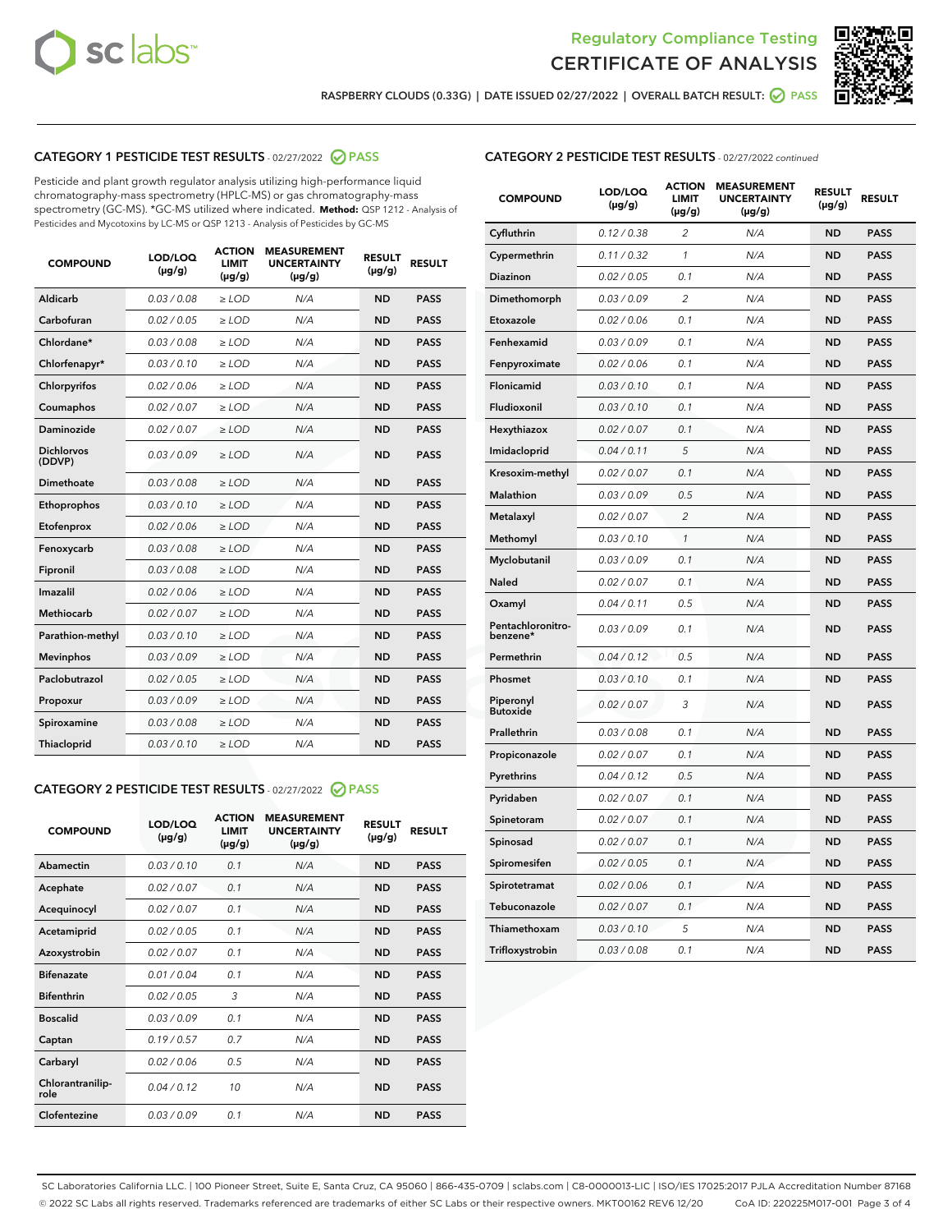



**RASPBERRY CLOUDS (0.33G) | DATE ISSUED 02/27/2022 | OVERALL BATCH RESULT: PASS**

# **CATEGORY 1 PESTICIDE TEST RESULTS** - 02/27/2022 **PASS**

Pesticide and plant growth regulator analysis utilizing high-performance liquid chromatography-mass spectrometry (HPLC-MS) or gas chromatography-mass spectrometry (GC-MS). \*GC-MS utilized where indicated. **Method:** QSP 1212 - Analysis of Pesticides and Mycotoxins by LC-MS or QSP 1213 - Analysis of Pesticides by GC-MS

| 0.03 / 0.08<br><b>ND</b><br><b>PASS</b><br>Aldicarb<br>$>$ LOD<br>N/A<br>Carbofuran<br>0.02 / 0.05<br>N/A<br><b>ND</b><br><b>PASS</b><br>$\ge$ LOD<br>Chlordane*<br>N/A<br>0.03 / 0.08<br><b>ND</b><br><b>PASS</b><br>$\ge$ LOD<br>0.03/0.10<br><b>PASS</b><br>Chlorfenapyr*<br>$>$ LOD<br>N/A<br><b>ND</b><br>0.02/0.06<br>$>$ LOD<br>N/A<br><b>ND</b><br><b>PASS</b><br>Chlorpyrifos<br>Coumaphos<br>0.02 / 0.07<br>N/A<br><b>ND</b><br><b>PASS</b><br>$\ge$ LOD<br>Daminozide<br>0.02 / 0.07<br>N/A<br><b>ND</b><br><b>PASS</b><br>$\ge$ LOD<br><b>Dichlorvos</b><br>0.03/0.09<br><b>ND</b><br>$\ge$ LOD<br>N/A<br><b>PASS</b><br>(DDVP)<br>Dimethoate<br>0.03/0.08<br>N/A<br><b>ND</b><br><b>PASS</b><br>$>$ LOD<br>0.03/0.10<br><b>ND</b><br><b>PASS</b><br>Ethoprophos<br>$\ge$ LOD<br>N/A<br>0.02 / 0.06<br>N/A<br><b>ND</b><br><b>PASS</b><br>Etofenprox<br>$>$ LOD<br>0.03/0.08<br>N/A<br><b>ND</b><br>Fenoxycarb<br>$>$ LOD<br><b>PASS</b><br><b>PASS</b><br>Fipronil<br>0.03 / 0.08<br>$\geq$ LOD<br>N/A<br><b>ND</b><br>Imazalil<br>0.02 / 0.06<br>N/A<br><b>ND</b><br><b>PASS</b><br>$>$ LOD<br><b>Methiocarb</b><br>0.02 / 0.07<br><b>ND</b><br><b>PASS</b><br>$>$ LOD<br>N/A<br>Parathion-methyl<br>0.03/0.10<br>$\ge$ LOD<br>N/A<br><b>ND</b><br><b>PASS</b><br>0.03/0.09<br>$\ge$ LOD<br>N/A<br><b>ND</b><br><b>PASS</b><br><b>Mevinphos</b><br>Paclobutrazol<br>0.02 / 0.05<br>$>$ LOD<br>N/A<br><b>ND</b><br><b>PASS</b><br>0.03/0.09<br>$\ge$ LOD<br>N/A<br><b>ND</b><br><b>PASS</b><br>Propoxur<br>0.03 / 0.08<br><b>ND</b><br>Spiroxamine<br>$\ge$ LOD<br>N/A<br><b>PASS</b><br>0.03/0.10<br>Thiacloprid<br>$>$ LOD<br>N/A<br><b>ND</b><br><b>PASS</b> | <b>COMPOUND</b> | LOD/LOQ<br>$(\mu g/g)$ | <b>ACTION</b><br>LIMIT<br>$(\mu g/g)$ | <b>MEASUREMENT</b><br><b>UNCERTAINTY</b><br>$(\mu g/g)$ | <b>RESULT</b><br>$(\mu g/g)$ | <b>RESULT</b> |
|------------------------------------------------------------------------------------------------------------------------------------------------------------------------------------------------------------------------------------------------------------------------------------------------------------------------------------------------------------------------------------------------------------------------------------------------------------------------------------------------------------------------------------------------------------------------------------------------------------------------------------------------------------------------------------------------------------------------------------------------------------------------------------------------------------------------------------------------------------------------------------------------------------------------------------------------------------------------------------------------------------------------------------------------------------------------------------------------------------------------------------------------------------------------------------------------------------------------------------------------------------------------------------------------------------------------------------------------------------------------------------------------------------------------------------------------------------------------------------------------------------------------------------------------------------------------------------------------------------------------------------------------------------------------------|-----------------|------------------------|---------------------------------------|---------------------------------------------------------|------------------------------|---------------|
|                                                                                                                                                                                                                                                                                                                                                                                                                                                                                                                                                                                                                                                                                                                                                                                                                                                                                                                                                                                                                                                                                                                                                                                                                                                                                                                                                                                                                                                                                                                                                                                                                                                                              |                 |                        |                                       |                                                         |                              |               |
|                                                                                                                                                                                                                                                                                                                                                                                                                                                                                                                                                                                                                                                                                                                                                                                                                                                                                                                                                                                                                                                                                                                                                                                                                                                                                                                                                                                                                                                                                                                                                                                                                                                                              |                 |                        |                                       |                                                         |                              |               |
|                                                                                                                                                                                                                                                                                                                                                                                                                                                                                                                                                                                                                                                                                                                                                                                                                                                                                                                                                                                                                                                                                                                                                                                                                                                                                                                                                                                                                                                                                                                                                                                                                                                                              |                 |                        |                                       |                                                         |                              |               |
|                                                                                                                                                                                                                                                                                                                                                                                                                                                                                                                                                                                                                                                                                                                                                                                                                                                                                                                                                                                                                                                                                                                                                                                                                                                                                                                                                                                                                                                                                                                                                                                                                                                                              |                 |                        |                                       |                                                         |                              |               |
|                                                                                                                                                                                                                                                                                                                                                                                                                                                                                                                                                                                                                                                                                                                                                                                                                                                                                                                                                                                                                                                                                                                                                                                                                                                                                                                                                                                                                                                                                                                                                                                                                                                                              |                 |                        |                                       |                                                         |                              |               |
|                                                                                                                                                                                                                                                                                                                                                                                                                                                                                                                                                                                                                                                                                                                                                                                                                                                                                                                                                                                                                                                                                                                                                                                                                                                                                                                                                                                                                                                                                                                                                                                                                                                                              |                 |                        |                                       |                                                         |                              |               |
|                                                                                                                                                                                                                                                                                                                                                                                                                                                                                                                                                                                                                                                                                                                                                                                                                                                                                                                                                                                                                                                                                                                                                                                                                                                                                                                                                                                                                                                                                                                                                                                                                                                                              |                 |                        |                                       |                                                         |                              |               |
|                                                                                                                                                                                                                                                                                                                                                                                                                                                                                                                                                                                                                                                                                                                                                                                                                                                                                                                                                                                                                                                                                                                                                                                                                                                                                                                                                                                                                                                                                                                                                                                                                                                                              |                 |                        |                                       |                                                         |                              |               |
|                                                                                                                                                                                                                                                                                                                                                                                                                                                                                                                                                                                                                                                                                                                                                                                                                                                                                                                                                                                                                                                                                                                                                                                                                                                                                                                                                                                                                                                                                                                                                                                                                                                                              |                 |                        |                                       |                                                         |                              |               |
|                                                                                                                                                                                                                                                                                                                                                                                                                                                                                                                                                                                                                                                                                                                                                                                                                                                                                                                                                                                                                                                                                                                                                                                                                                                                                                                                                                                                                                                                                                                                                                                                                                                                              |                 |                        |                                       |                                                         |                              |               |
|                                                                                                                                                                                                                                                                                                                                                                                                                                                                                                                                                                                                                                                                                                                                                                                                                                                                                                                                                                                                                                                                                                                                                                                                                                                                                                                                                                                                                                                                                                                                                                                                                                                                              |                 |                        |                                       |                                                         |                              |               |
|                                                                                                                                                                                                                                                                                                                                                                                                                                                                                                                                                                                                                                                                                                                                                                                                                                                                                                                                                                                                                                                                                                                                                                                                                                                                                                                                                                                                                                                                                                                                                                                                                                                                              |                 |                        |                                       |                                                         |                              |               |
|                                                                                                                                                                                                                                                                                                                                                                                                                                                                                                                                                                                                                                                                                                                                                                                                                                                                                                                                                                                                                                                                                                                                                                                                                                                                                                                                                                                                                                                                                                                                                                                                                                                                              |                 |                        |                                       |                                                         |                              |               |
|                                                                                                                                                                                                                                                                                                                                                                                                                                                                                                                                                                                                                                                                                                                                                                                                                                                                                                                                                                                                                                                                                                                                                                                                                                                                                                                                                                                                                                                                                                                                                                                                                                                                              |                 |                        |                                       |                                                         |                              |               |
|                                                                                                                                                                                                                                                                                                                                                                                                                                                                                                                                                                                                                                                                                                                                                                                                                                                                                                                                                                                                                                                                                                                                                                                                                                                                                                                                                                                                                                                                                                                                                                                                                                                                              |                 |                        |                                       |                                                         |                              |               |
|                                                                                                                                                                                                                                                                                                                                                                                                                                                                                                                                                                                                                                                                                                                                                                                                                                                                                                                                                                                                                                                                                                                                                                                                                                                                                                                                                                                                                                                                                                                                                                                                                                                                              |                 |                        |                                       |                                                         |                              |               |
|                                                                                                                                                                                                                                                                                                                                                                                                                                                                                                                                                                                                                                                                                                                                                                                                                                                                                                                                                                                                                                                                                                                                                                                                                                                                                                                                                                                                                                                                                                                                                                                                                                                                              |                 |                        |                                       |                                                         |                              |               |
|                                                                                                                                                                                                                                                                                                                                                                                                                                                                                                                                                                                                                                                                                                                                                                                                                                                                                                                                                                                                                                                                                                                                                                                                                                                                                                                                                                                                                                                                                                                                                                                                                                                                              |                 |                        |                                       |                                                         |                              |               |
|                                                                                                                                                                                                                                                                                                                                                                                                                                                                                                                                                                                                                                                                                                                                                                                                                                                                                                                                                                                                                                                                                                                                                                                                                                                                                                                                                                                                                                                                                                                                                                                                                                                                              |                 |                        |                                       |                                                         |                              |               |
|                                                                                                                                                                                                                                                                                                                                                                                                                                                                                                                                                                                                                                                                                                                                                                                                                                                                                                                                                                                                                                                                                                                                                                                                                                                                                                                                                                                                                                                                                                                                                                                                                                                                              |                 |                        |                                       |                                                         |                              |               |
|                                                                                                                                                                                                                                                                                                                                                                                                                                                                                                                                                                                                                                                                                                                                                                                                                                                                                                                                                                                                                                                                                                                                                                                                                                                                                                                                                                                                                                                                                                                                                                                                                                                                              |                 |                        |                                       |                                                         |                              |               |

# **CATEGORY 2 PESTICIDE TEST RESULTS** - 02/27/2022 **PASS**

| <b>COMPOUND</b>          | LOD/LOO<br>$(\mu g/g)$ | <b>ACTION</b><br>LIMIT<br>$(\mu g/g)$ | <b>MEASUREMENT</b><br><b>UNCERTAINTY</b><br>$(\mu g/g)$ | <b>RESULT</b><br>$(\mu g/g)$ | <b>RESULT</b> |
|--------------------------|------------------------|---------------------------------------|---------------------------------------------------------|------------------------------|---------------|
| Abamectin                | 0.03/0.10              | 0.1                                   | N/A                                                     | <b>ND</b>                    | <b>PASS</b>   |
| Acephate                 | 0.02/0.07              | 0.1                                   | N/A                                                     | <b>ND</b>                    | <b>PASS</b>   |
| Acequinocyl              | 0.02/0.07              | 0.1                                   | N/A                                                     | <b>ND</b>                    | <b>PASS</b>   |
| Acetamiprid              | 0.02/0.05              | 0.1                                   | N/A                                                     | <b>ND</b>                    | <b>PASS</b>   |
| Azoxystrobin             | 0.02/0.07              | 0.1                                   | N/A                                                     | <b>ND</b>                    | <b>PASS</b>   |
| <b>Bifenazate</b>        | 0.01/0.04              | 0.1                                   | N/A                                                     | <b>ND</b>                    | <b>PASS</b>   |
| <b>Bifenthrin</b>        | 0.02/0.05              | 3                                     | N/A                                                     | <b>ND</b>                    | <b>PASS</b>   |
| <b>Boscalid</b>          | 0.03/0.09              | 0.1                                   | N/A                                                     | <b>ND</b>                    | <b>PASS</b>   |
| Captan                   | 0.19/0.57              | 07                                    | N/A                                                     | <b>ND</b>                    | <b>PASS</b>   |
| Carbaryl                 | 0.02/0.06              | 0.5                                   | N/A                                                     | <b>ND</b>                    | <b>PASS</b>   |
| Chlorantranilip-<br>role | 0.04/0.12              | 10                                    | N/A                                                     | <b>ND</b>                    | <b>PASS</b>   |
| Clofentezine             | 0.03/0.09              | 0.1                                   | N/A                                                     | <b>ND</b>                    | <b>PASS</b>   |

# **CATEGORY 2 PESTICIDE TEST RESULTS** - 02/27/2022 continued

| <b>COMPOUND</b>               | LOD/LOQ<br>(µg/g) | <b>ACTION</b><br><b>LIMIT</b><br>(µg/g) | <b>MEASUREMENT</b><br><b>UNCERTAINTY</b><br>$(\mu g/g)$ | <b>RESULT</b><br>(µg/g) | <b>RESULT</b> |
|-------------------------------|-------------------|-----------------------------------------|---------------------------------------------------------|-------------------------|---------------|
| Cyfluthrin                    | 0.12 / 0.38       | 2                                       | N/A                                                     | <b>ND</b>               | <b>PASS</b>   |
| Cypermethrin                  | 0.11 / 0.32       | $\mathbf{1}$                            | N/A                                                     | <b>ND</b>               | <b>PASS</b>   |
| Diazinon                      | 0.02 / 0.05       | 0.1                                     | N/A                                                     | <b>ND</b>               | <b>PASS</b>   |
| Dimethomorph                  | 0.03 / 0.09       | $\overline{2}$                          | N/A                                                     | ND                      | <b>PASS</b>   |
| Etoxazole                     | 0.02 / 0.06       | 0.1                                     | N/A                                                     | <b>ND</b>               | <b>PASS</b>   |
| Fenhexamid                    | 0.03 / 0.09       | 0.1                                     | N/A                                                     | <b>ND</b>               | <b>PASS</b>   |
| Fenpyroximate                 | 0.02 / 0.06       | 0.1                                     | N/A                                                     | <b>ND</b>               | <b>PASS</b>   |
| Flonicamid                    | 0.03 / 0.10       | 0.1                                     | N/A                                                     | <b>ND</b>               | <b>PASS</b>   |
| Fludioxonil                   | 0.03 / 0.10       | 0.1                                     | N/A                                                     | <b>ND</b>               | <b>PASS</b>   |
| Hexythiazox                   | 0.02 / 0.07       | 0.1                                     | N/A                                                     | <b>ND</b>               | <b>PASS</b>   |
| Imidacloprid                  | 0.04 / 0.11       | 5                                       | N/A                                                     | ND                      | <b>PASS</b>   |
| Kresoxim-methyl               | 0.02 / 0.07       | 0.1                                     | N/A                                                     | <b>ND</b>               | <b>PASS</b>   |
| Malathion                     | 0.03 / 0.09       | 0.5                                     | N/A                                                     | <b>ND</b>               | <b>PASS</b>   |
| Metalaxyl                     | 0.02 / 0.07       | $\overline{c}$                          | N/A                                                     | <b>ND</b>               | <b>PASS</b>   |
| Methomyl                      | 0.03 / 0.10       | $\mathcal{I}$                           | N/A                                                     | <b>ND</b>               | <b>PASS</b>   |
| Myclobutanil                  | 0.03 / 0.09       | 0.1                                     | N/A                                                     | <b>ND</b>               | <b>PASS</b>   |
| <b>Naled</b>                  | 0.02 / 0.07       | 0.1                                     | N/A                                                     | <b>ND</b>               | <b>PASS</b>   |
| Oxamyl                        | 0.04 / 0.11       | 0.5                                     | N/A                                                     | ND                      | <b>PASS</b>   |
| Pentachloronitro-<br>benzene* | 0.03 / 0.09       | 0.1                                     | N/A                                                     | <b>ND</b>               | <b>PASS</b>   |
| Permethrin                    | 0.04 / 0.12       | 0.5                                     | N/A                                                     | <b>ND</b>               | <b>PASS</b>   |
| Phosmet                       | 0.03/0.10         | 0.1                                     | N/A                                                     | <b>ND</b>               | <b>PASS</b>   |
| Piperonyl<br><b>Butoxide</b>  | 0.02 / 0.07       | 3                                       | N/A                                                     | <b>ND</b>               | <b>PASS</b>   |
| Prallethrin                   | 0.03 / 0.08       | 0.1                                     | N/A                                                     | <b>ND</b>               | <b>PASS</b>   |
| Propiconazole                 | 0.02 / 0.07       | 0.1                                     | N/A                                                     | ND                      | PASS          |
| Pyrethrins                    | 0.04 / 0.12       | 0.5                                     | N/A                                                     | <b>ND</b>               | <b>PASS</b>   |
| Pyridaben                     | 0.02 / 0.07       | 0.1                                     | N/A                                                     | ND                      | <b>PASS</b>   |
| Spinetoram                    | 0.02 / 0.07       | 0.1                                     | N/A                                                     | ND                      | <b>PASS</b>   |
| Spinosad                      | 0.02 / 0.07       | 0.1                                     | N/A                                                     | <b>ND</b>               | <b>PASS</b>   |
| Spiromesifen                  | 0.02 / 0.05       | 0.1                                     | N/A                                                     | <b>ND</b>               | <b>PASS</b>   |
| Spirotetramat                 | 0.02 / 0.06       | 0.1                                     | N/A                                                     | ND                      | <b>PASS</b>   |
| Tebuconazole                  | 0.02 / 0.07       | 0.1                                     | N/A                                                     | ND                      | PASS          |
| Thiamethoxam                  | 0.03 / 0.10       | 5                                       | N/A                                                     | ND                      | <b>PASS</b>   |
| Trifloxystrobin               | 0.03 / 0.08       | 0.1                                     | N/A                                                     | <b>ND</b>               | <b>PASS</b>   |

SC Laboratories California LLC. | 100 Pioneer Street, Suite E, Santa Cruz, CA 95060 | 866-435-0709 | sclabs.com | C8-0000013-LIC | ISO/IES 17025:2017 PJLA Accreditation Number 87168 © 2022 SC Labs all rights reserved. Trademarks referenced are trademarks of either SC Labs or their respective owners. MKT00162 REV6 12/20 CoA ID: 220225M017-001 Page 3 of 4